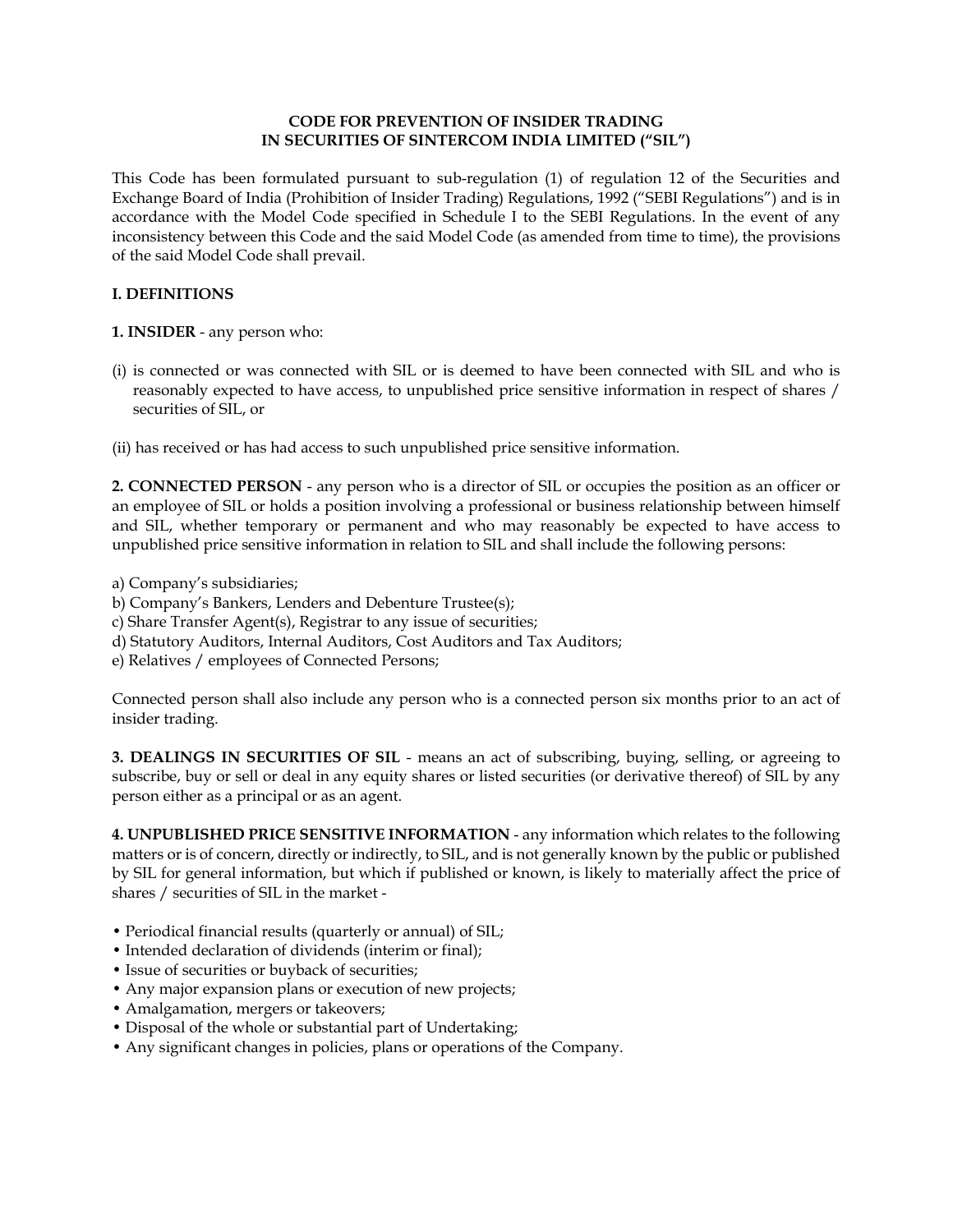#### **CODE FOR PREVENTION OF INSIDER TRADING IN SECURITIES OF SINTERCOM INDIA LIMITED ("SIL")**

This Code has been formulated pursuant to sub-regulation (1) of regulation 12 of the Securities and Exchange Board of India (Prohibition of Insider Trading) Regulations, 1992 ("SEBI Regulations") and is in accordance with the Model Code specified in Schedule I to the SEBI Regulations. In the event of any inconsistency between this Code and the said Model Code (as amended from time to time), the provisions of the said Model Code shall prevail.

# **I. DEFINITIONS**

**1. INSIDER** - any person who:

- (i) is connected or was connected with SIL or is deemed to have been connected with SIL and who is reasonably expected to have access, to unpublished price sensitive information in respect of shares / securities of SIL, or
- (ii) has received or has had access to such unpublished price sensitive information.

**2. CONNECTED PERSON** - any person who is a director of SIL or occupies the position as an officer or an employee of SIL or holds a position involving a professional or business relationship between himself and SIL, whether temporary or permanent and who may reasonably be expected to have access to unpublished price sensitive information in relation to SIL and shall include the following persons:

- a) Company's subsidiaries;
- b) Company's Bankers, Lenders and Debenture Trustee(s);
- c) Share Transfer Agent(s), Registrar to any issue of securities;
- d) Statutory Auditors, Internal Auditors, Cost Auditors and Tax Auditors;
- e) Relatives / employees of Connected Persons;

Connected person shall also include any person who is a connected person six months prior to an act of insider trading.

**3. DEALINGS IN SECURITIES OF SIL** - means an act of subscribing, buying, selling, or agreeing to subscribe, buy or sell or deal in any equity shares or listed securities (or derivative thereof) of SIL by any person either as a principal or as an agent.

**4. UNPUBLISHED PRICE SENSITIVE INFORMATION** - any information which relates to the following matters or is of concern, directly or indirectly, to SIL, and is not generally known by the public or published by SIL for general information, but which if published or known, is likely to materially affect the price of shares / securities of SIL in the market -

- Periodical financial results (quarterly or annual) of SIL;
- Intended declaration of dividends (interim or final);
- Issue of securities or buyback of securities;
- Any major expansion plans or execution of new projects;
- Amalgamation, mergers or takeovers;
- Disposal of the whole or substantial part of Undertaking;
- Any significant changes in policies, plans or operations of the Company.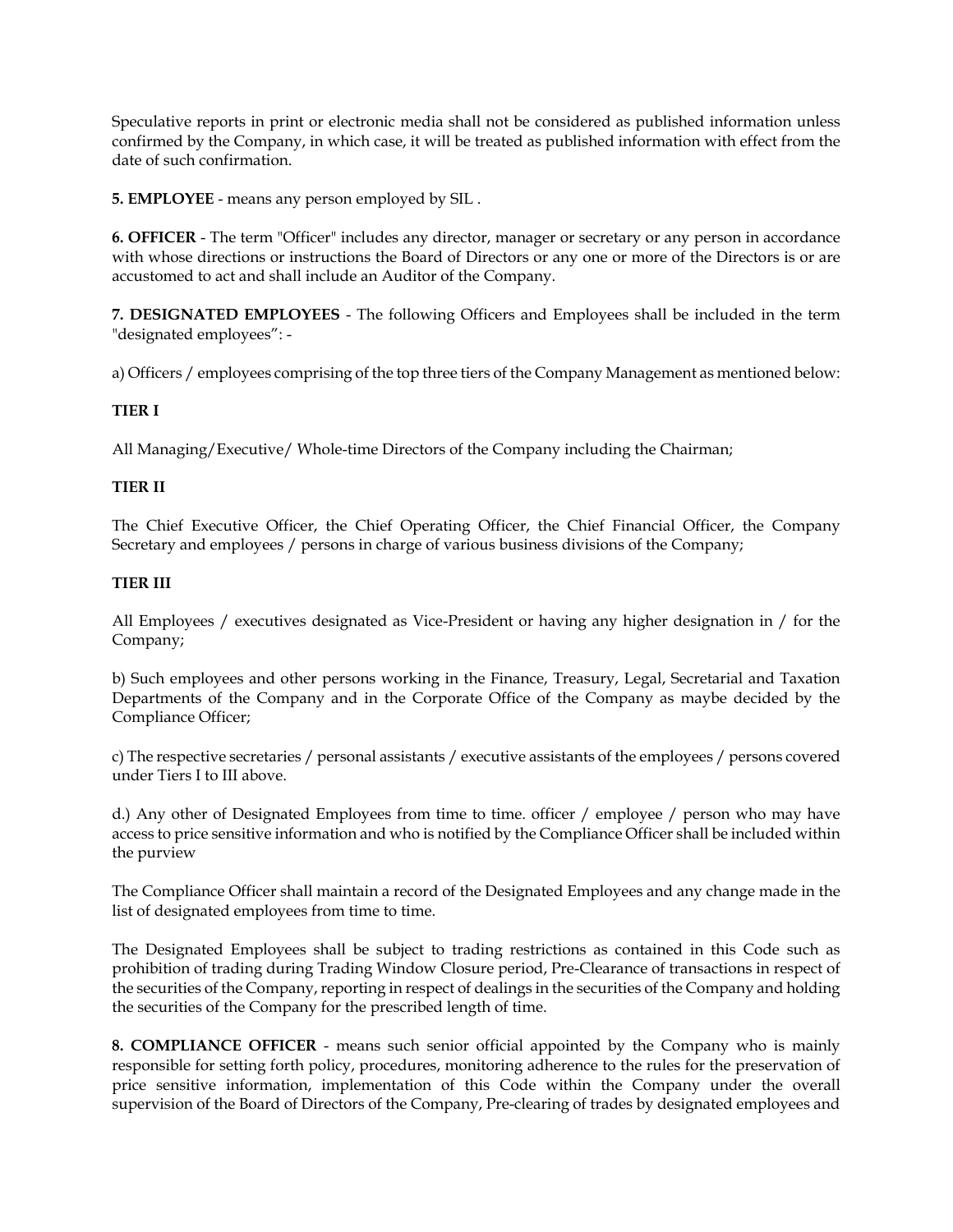Speculative reports in print or electronic media shall not be considered as published information unless confirmed by the Company, in which case, it will be treated as published information with effect from the date of such confirmation.

**5. EMPLOYEE** - means any person employed by SIL .

**6. OFFICER** - The term "Officer" includes any director, manager or secretary or any person in accordance with whose directions or instructions the Board of Directors or any one or more of the Directors is or are accustomed to act and shall include an Auditor of the Company.

**7. DESIGNATED EMPLOYEES** - The following Officers and Employees shall be included in the term "designated employees": -

a) Officers / employees comprising of the top three tiers of the Company Management as mentioned below:

# **TIER I**

All Managing/Executive/ Whole-time Directors of the Company including the Chairman;

# **TIER II**

The Chief Executive Officer, the Chief Operating Officer, the Chief Financial Officer, the Company Secretary and employees / persons in charge of various business divisions of the Company;

## **TIER III**

All Employees / executives designated as Vice-President or having any higher designation in / for the Company;

b) Such employees and other persons working in the Finance, Treasury, Legal, Secretarial and Taxation Departments of the Company and in the Corporate Office of the Company as maybe decided by the Compliance Officer;

c) The respective secretaries / personal assistants / executive assistants of the employees / persons covered under Tiers I to III above.

d.) Any other of Designated Employees from time to time. officer / employee / person who may have access to price sensitive information and who is notified by the Compliance Officer shall be included within the purview

The Compliance Officer shall maintain a record of the Designated Employees and any change made in the list of designated employees from time to time.

The Designated Employees shall be subject to trading restrictions as contained in this Code such as prohibition of trading during Trading Window Closure period, Pre-Clearance of transactions in respect of the securities of the Company, reporting in respect of dealings in the securities of the Company and holding the securities of the Company for the prescribed length of time.

**8. COMPLIANCE OFFICER** - means such senior official appointed by the Company who is mainly responsible for setting forth policy, procedures, monitoring adherence to the rules for the preservation of price sensitive information, implementation of this Code within the Company under the overall supervision of the Board of Directors of the Company, Pre-clearing of trades by designated employees and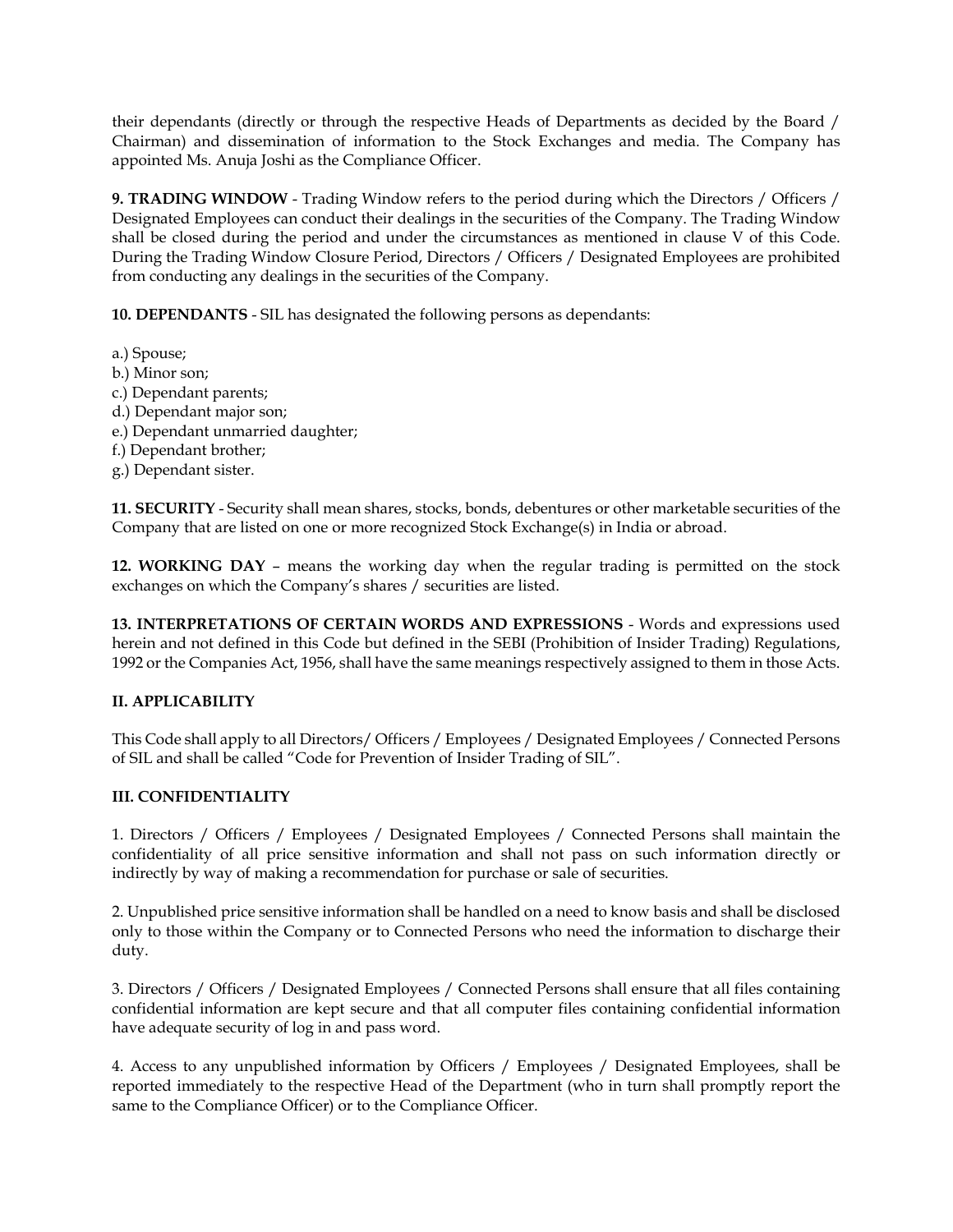their dependants (directly or through the respective Heads of Departments as decided by the Board / Chairman) and dissemination of information to the Stock Exchanges and media. The Company has appointed Ms. Anuja Joshi as the Compliance Officer.

**9. TRADING WINDOW** - Trading Window refers to the period during which the Directors / Officers / Designated Employees can conduct their dealings in the securities of the Company. The Trading Window shall be closed during the period and under the circumstances as mentioned in clause V of this Code. During the Trading Window Closure Period, Directors / Officers / Designated Employees are prohibited from conducting any dealings in the securities of the Company.

**10. DEPENDANTS** - SIL has designated the following persons as dependants:

- a.) Spouse;
- b.) Minor son;
- c.) Dependant parents;
- d.) Dependant major son;
- e.) Dependant unmarried daughter;
- f.) Dependant brother;
- g.) Dependant sister.

**11. SECURITY** - Security shall mean shares, stocks, bonds, debentures or other marketable securities of the Company that are listed on one or more recognized Stock Exchange(s) in India or abroad.

**12. WORKING DAY** – means the working day when the regular trading is permitted on the stock exchanges on which the Company's shares / securities are listed.

**13. INTERPRETATIONS OF CERTAIN WORDS AND EXPRESSIONS** - Words and expressions used herein and not defined in this Code but defined in the SEBI (Prohibition of Insider Trading) Regulations, 1992 or the Companies Act, 1956, shall have the same meanings respectively assigned to them in those Acts.

# **II. APPLICABILITY**

This Code shall apply to all Directors/ Officers / Employees / Designated Employees / Connected Persons of SIL and shall be called "Code for Prevention of Insider Trading of SIL".

## **III. CONFIDENTIALITY**

1. Directors / Officers / Employees / Designated Employees / Connected Persons shall maintain the confidentiality of all price sensitive information and shall not pass on such information directly or indirectly by way of making a recommendation for purchase or sale of securities.

2. Unpublished price sensitive information shall be handled on a need to know basis and shall be disclosed only to those within the Company or to Connected Persons who need the information to discharge their duty.

3. Directors / Officers / Designated Employees / Connected Persons shall ensure that all files containing confidential information are kept secure and that all computer files containing confidential information have adequate security of log in and pass word.

4. Access to any unpublished information by Officers / Employees / Designated Employees, shall be reported immediately to the respective Head of the Department (who in turn shall promptly report the same to the Compliance Officer) or to the Compliance Officer.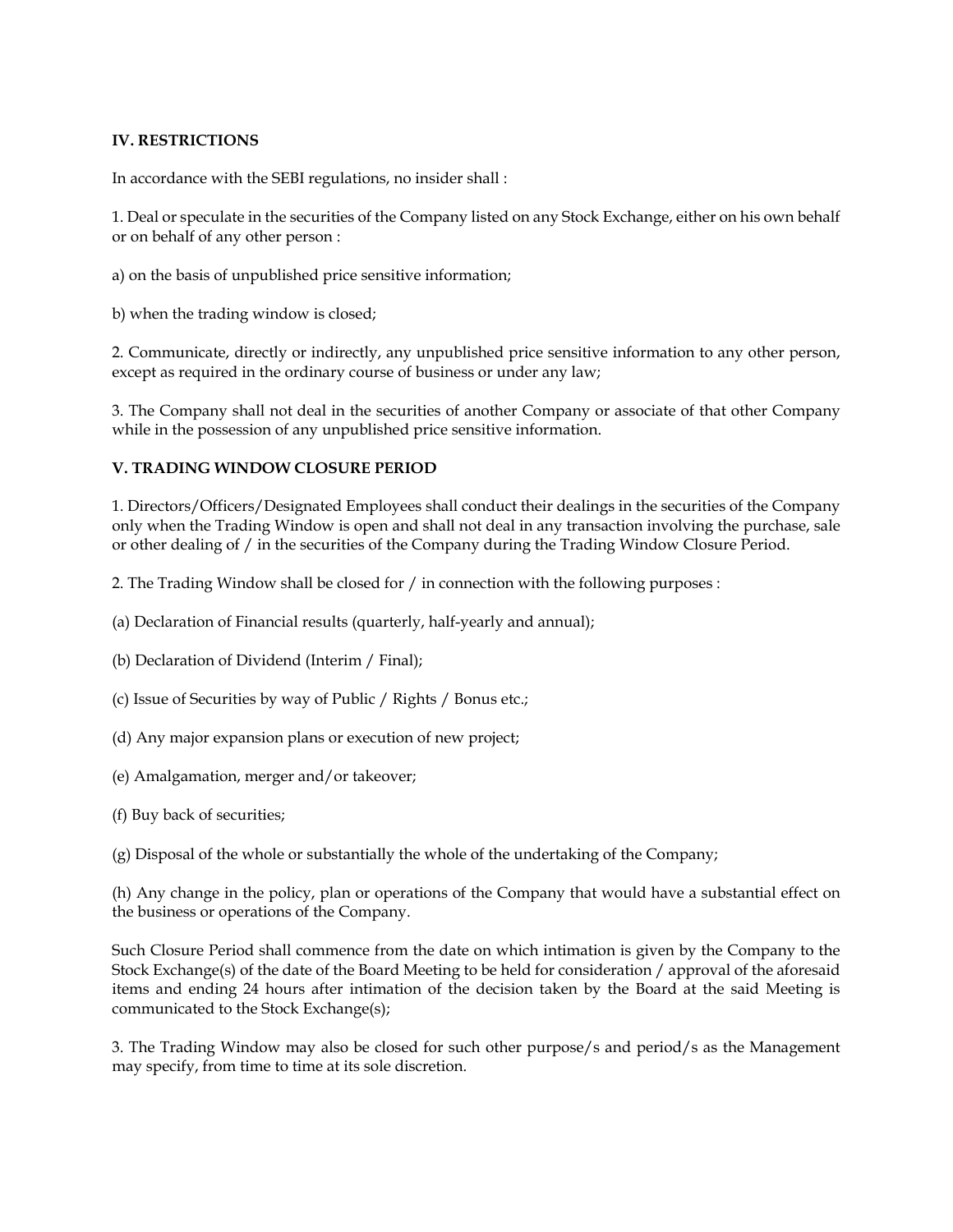#### **IV. RESTRICTIONS**

In accordance with the SEBI regulations, no insider shall :

1. Deal or speculate in the securities of the Company listed on any Stock Exchange, either on his own behalf or on behalf of any other person :

a) on the basis of unpublished price sensitive information;

b) when the trading window is closed;

2. Communicate, directly or indirectly, any unpublished price sensitive information to any other person, except as required in the ordinary course of business or under any law;

3. The Company shall not deal in the securities of another Company or associate of that other Company while in the possession of any unpublished price sensitive information.

#### **V. TRADING WINDOW CLOSURE PERIOD**

1. Directors/Officers/Designated Employees shall conduct their dealings in the securities of the Company only when the Trading Window is open and shall not deal in any transaction involving the purchase, sale or other dealing of / in the securities of the Company during the Trading Window Closure Period.

2. The Trading Window shall be closed for / in connection with the following purposes :

- (a) Declaration of Financial results (quarterly, half-yearly and annual);
- (b) Declaration of Dividend (Interim / Final);
- (c) Issue of Securities by way of Public / Rights / Bonus etc.;
- (d) Any major expansion plans or execution of new project;
- (e) Amalgamation, merger and/or takeover;
- (f) Buy back of securities;

(g) Disposal of the whole or substantially the whole of the undertaking of the Company;

(h) Any change in the policy, plan or operations of the Company that would have a substantial effect on the business or operations of the Company.

Such Closure Period shall commence from the date on which intimation is given by the Company to the Stock Exchange(s) of the date of the Board Meeting to be held for consideration / approval of the aforesaid items and ending 24 hours after intimation of the decision taken by the Board at the said Meeting is communicated to the Stock Exchange(s);

3. The Trading Window may also be closed for such other purpose/s and period/s as the Management may specify, from time to time at its sole discretion.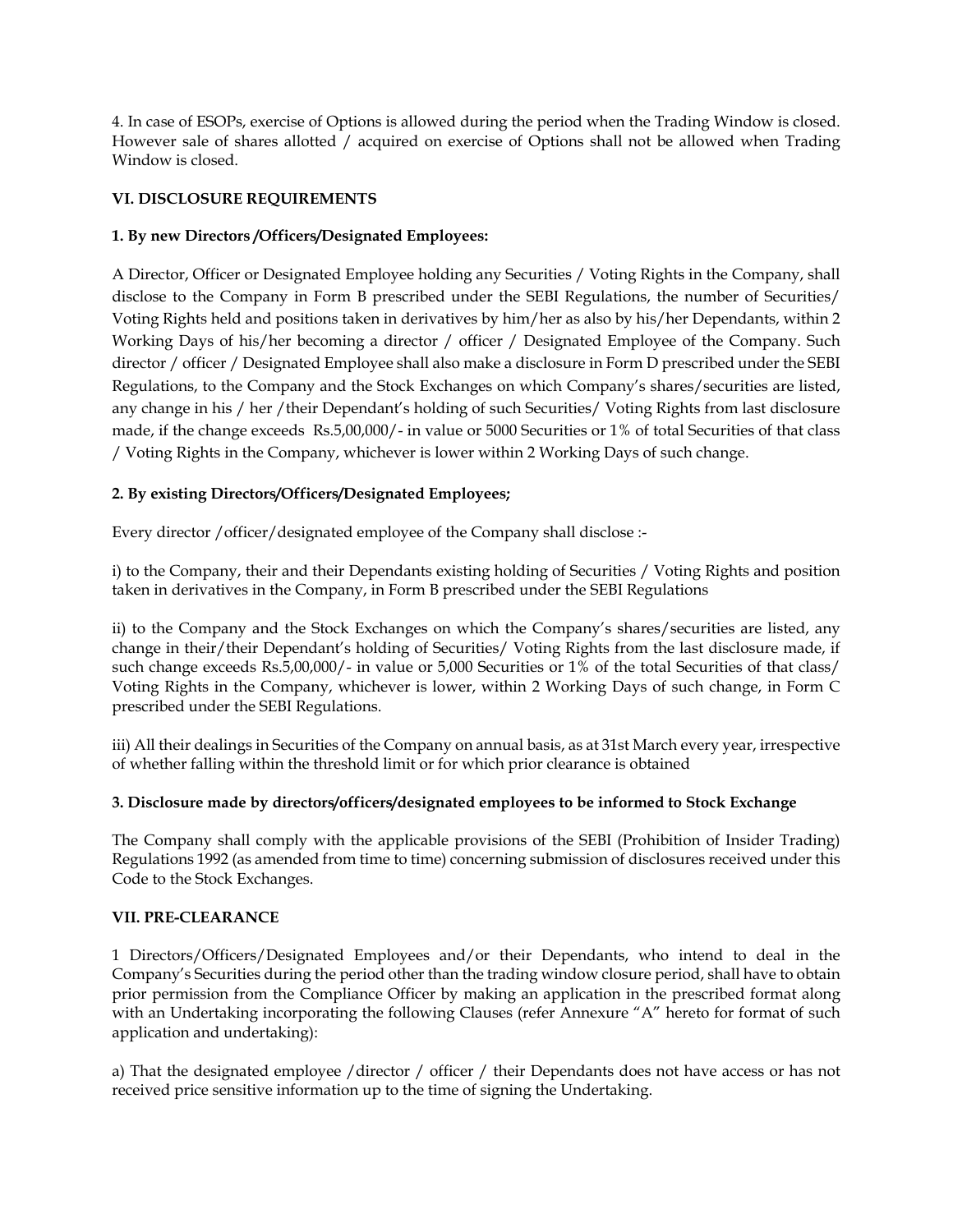4. In case of ESOPs, exercise of Options is allowed during the period when the Trading Window is closed. However sale of shares allotted / acquired on exercise of Options shall not be allowed when Trading Window is closed.

## **VI. DISCLOSURE REQUIREMENTS**

# **1. By new Directors /Officers/Designated Employees:**

A Director, Officer or Designated Employee holding any Securities / Voting Rights in the Company, shall disclose to the Company in Form B prescribed under the SEBI Regulations, the number of Securities/ Voting Rights held and positions taken in derivatives by him/her as also by his/her Dependants, within 2 Working Days of his/her becoming a director / officer / Designated Employee of the Company. Such director / officer / Designated Employee shall also make a disclosure in Form D prescribed under the SEBI Regulations, to the Company and the Stock Exchanges on which Company's shares/securities are listed, any change in his / her /their Dependant's holding of such Securities/ Voting Rights from last disclosure made, if the change exceeds Rs.5,00,000/- in value or 5000 Securities or 1% of total Securities of that class / Voting Rights in the Company, whichever is lower within 2 Working Days of such change.

# **2. By existing Directors/Officers/Designated Employees;**

Every director /officer/designated employee of the Company shall disclose :-

i) to the Company, their and their Dependants existing holding of Securities / Voting Rights and position taken in derivatives in the Company, in Form B prescribed under the SEBI Regulations

ii) to the Company and the Stock Exchanges on which the Company's shares/securities are listed, any change in their/their Dependant's holding of Securities/ Voting Rights from the last disclosure made, if such change exceeds Rs.5,00,000/- in value or 5,000 Securities or 1% of the total Securities of that class/ Voting Rights in the Company, whichever is lower, within 2 Working Days of such change, in Form C prescribed under the SEBI Regulations.

iii) All their dealings in Securities of the Company on annual basis, as at 31st March every year, irrespective of whether falling within the threshold limit or for which prior clearance is obtained

## **3. Disclosure made by directors/officers/designated employees to be informed to Stock Exchange**

The Company shall comply with the applicable provisions of the SEBI (Prohibition of Insider Trading) Regulations 1992 (as amended from time to time) concerning submission of disclosures received under this Code to the Stock Exchanges.

## **VII. PRE-CLEARANCE**

1 Directors/Officers/Designated Employees and/or their Dependants, who intend to deal in the Company's Securities during the period other than the trading window closure period, shall have to obtain prior permission from the Compliance Officer by making an application in the prescribed format along with an Undertaking incorporating the following Clauses (refer Annexure "A" hereto for format of such application and undertaking):

a) That the designated employee /director / officer / their Dependants does not have access or has not received price sensitive information up to the time of signing the Undertaking.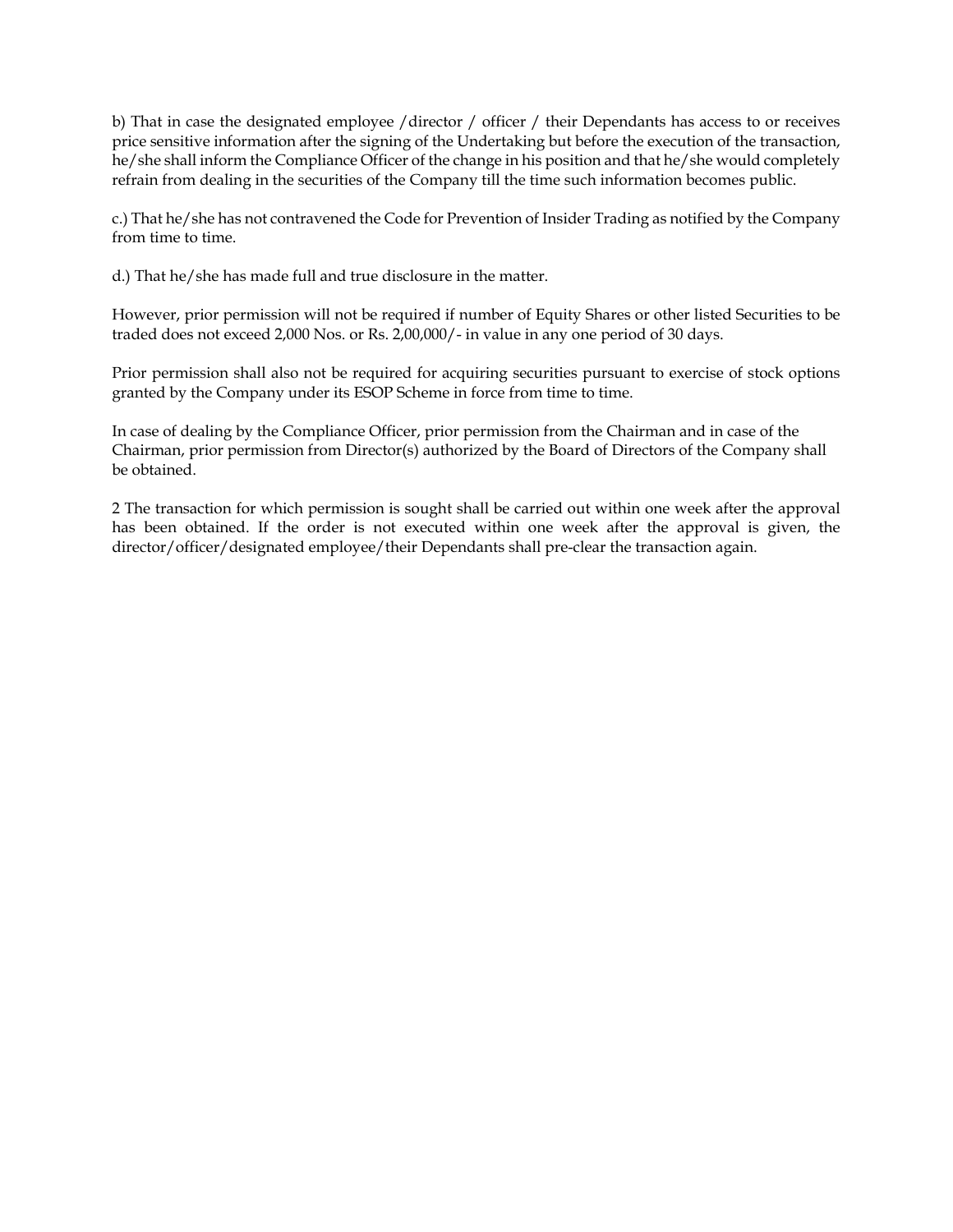b) That in case the designated employee /director / officer / their Dependants has access to or receives price sensitive information after the signing of the Undertaking but before the execution of the transaction, he/she shall inform the Compliance Officer of the change in his position and that he/she would completely refrain from dealing in the securities of the Company till the time such information becomes public.

c.) That he/she has not contravened the Code for Prevention of Insider Trading as notified by the Company from time to time.

d.) That he/she has made full and true disclosure in the matter.

However, prior permission will not be required if number of Equity Shares or other listed Securities to be traded does not exceed 2,000 Nos. or Rs. 2,00,000/- in value in any one period of 30 days.

Prior permission shall also not be required for acquiring securities pursuant to exercise of stock options granted by the Company under its ESOP Scheme in force from time to time.

In case of dealing by the Compliance Officer, prior permission from the Chairman and in case of the Chairman, prior permission from Director(s) authorized by the Board of Directors of the Company shall be obtained.

2 The transaction for which permission is sought shall be carried out within one week after the approval has been obtained. If the order is not executed within one week after the approval is given, the director/officer/designated employee/their Dependants shall pre-clear the transaction again.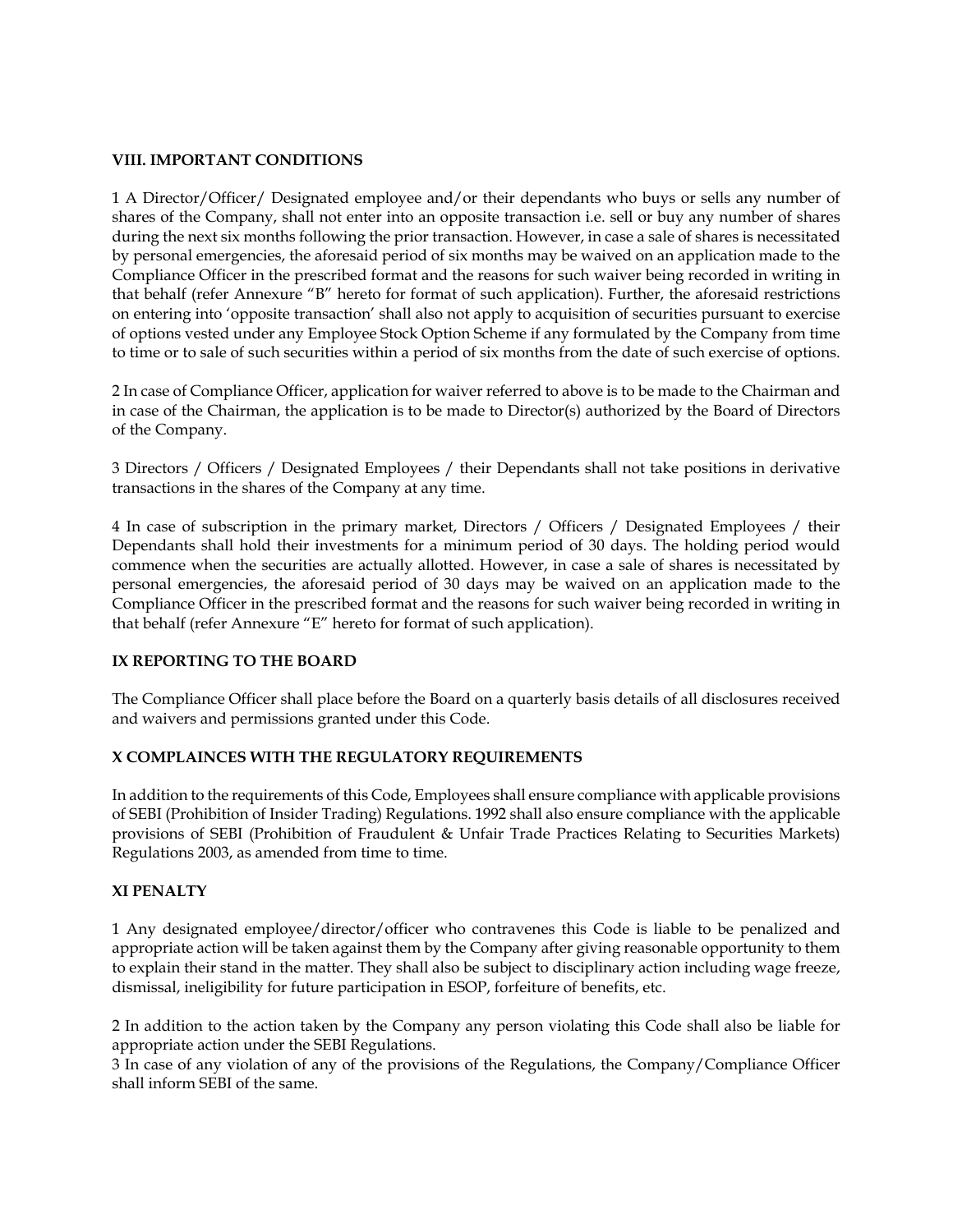#### **VIII. IMPORTANT CONDITIONS**

1 A Director/Officer/ Designated employee and/or their dependants who buys or sells any number of shares of the Company, shall not enter into an opposite transaction i.e. sell or buy any number of shares during the next six months following the prior transaction. However, in case a sale of shares is necessitated by personal emergencies, the aforesaid period of six months may be waived on an application made to the Compliance Officer in the prescribed format and the reasons for such waiver being recorded in writing in that behalf (refer Annexure "B" hereto for format of such application). Further, the aforesaid restrictions on entering into 'opposite transaction' shall also not apply to acquisition of securities pursuant to exercise of options vested under any Employee Stock Option Scheme if any formulated by the Company from time to time or to sale of such securities within a period of six months from the date of such exercise of options.

2 In case of Compliance Officer, application for waiver referred to above is to be made to the Chairman and in case of the Chairman, the application is to be made to Director(s) authorized by the Board of Directors of the Company.

3 Directors / Officers / Designated Employees / their Dependants shall not take positions in derivative transactions in the shares of the Company at any time.

4 In case of subscription in the primary market, Directors / Officers / Designated Employees / their Dependants shall hold their investments for a minimum period of 30 days. The holding period would commence when the securities are actually allotted. However, in case a sale of shares is necessitated by personal emergencies, the aforesaid period of 30 days may be waived on an application made to the Compliance Officer in the prescribed format and the reasons for such waiver being recorded in writing in that behalf (refer Annexure "E" hereto for format of such application).

## **IX REPORTING TO THE BOARD**

The Compliance Officer shall place before the Board on a quarterly basis details of all disclosures received and waivers and permissions granted under this Code.

## **X COMPLAINCES WITH THE REGULATORY REQUIREMENTS**

In addition to the requirements of this Code, Employees shall ensure compliance with applicable provisions of SEBI (Prohibition of Insider Trading) Regulations. 1992 shall also ensure compliance with the applicable provisions of SEBI (Prohibition of Fraudulent & Unfair Trade Practices Relating to Securities Markets) Regulations 2003, as amended from time to time.

#### **XI PENALTY**

1 Any designated employee/director/officer who contravenes this Code is liable to be penalized and appropriate action will be taken against them by the Company after giving reasonable opportunity to them to explain their stand in the matter. They shall also be subject to disciplinary action including wage freeze, dismissal, ineligibility for future participation in ESOP, forfeiture of benefits, etc.

2 In addition to the action taken by the Company any person violating this Code shall also be liable for appropriate action under the SEBI Regulations.

3 In case of any violation of any of the provisions of the Regulations, the Company/Compliance Officer shall inform SEBI of the same.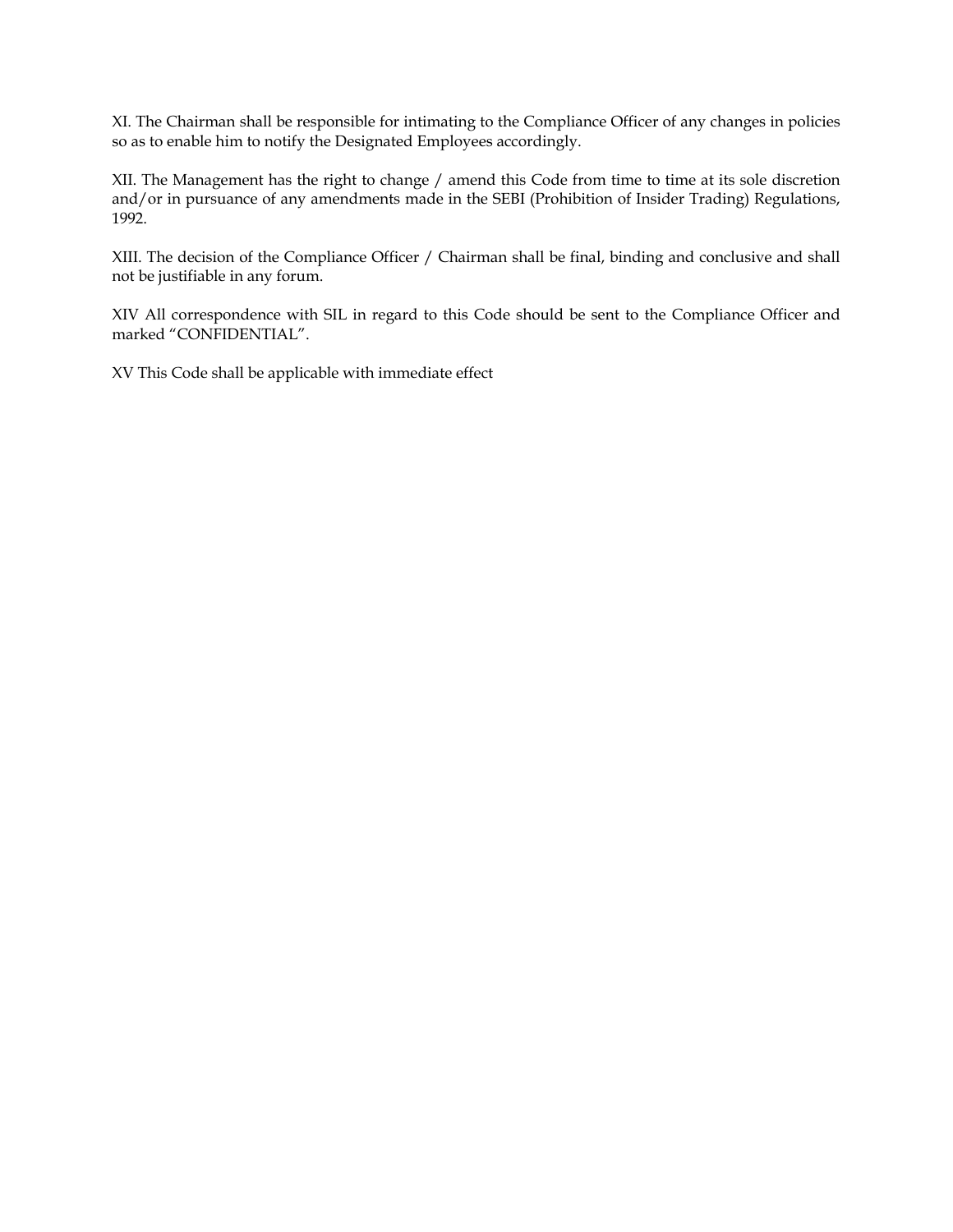XI. The Chairman shall be responsible for intimating to the Compliance Officer of any changes in policies so as to enable him to notify the Designated Employees accordingly.

XII. The Management has the right to change / amend this Code from time to time at its sole discretion and/or in pursuance of any amendments made in the SEBI (Prohibition of Insider Trading) Regulations, 1992.

XIII. The decision of the Compliance Officer / Chairman shall be final, binding and conclusive and shall not be justifiable in any forum.

XIV All correspondence with SIL in regard to this Code should be sent to the Compliance Officer and marked "CONFIDENTIAL".

XV This Code shall be applicable with immediate effect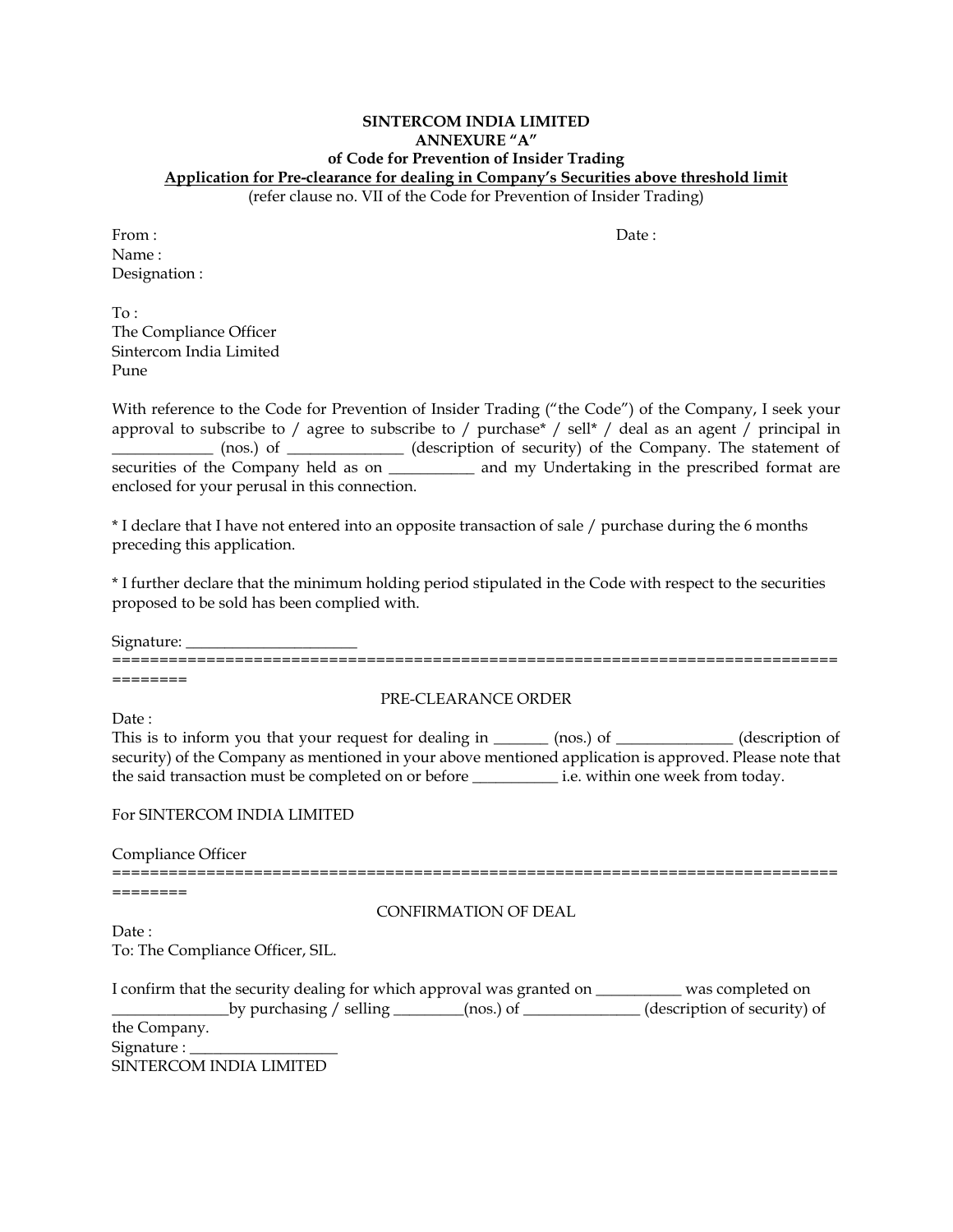# **SINTERCOM INDIA LIMITED ANNEXURE "A" of Code for Prevention of Insider Trading Application for Pre-clearance for dealing in Company's Securities above threshold limit**

(refer clause no. VII of the Code for Prevention of Insider Trading)

| From :        | Date: |
|---------------|-------|
| Name:         |       |
| Designation : |       |

 $To^{\mathsf{T}}$ The Compliance Officer Sintercom India Limited Pune

With reference to the Code for Prevention of Insider Trading ("the Code") of the Company, I seek your approval to subscribe to / agree to subscribe to / purchase\* / sell\* / deal as an agent / principal in \_\_\_\_\_\_\_\_\_\_\_\_\_ (nos.) of \_\_\_\_\_\_\_\_\_\_\_\_\_\_\_ (description of security) of the Company. The statement of securities of the Company held as on \_\_\_\_\_\_\_\_\_\_\_ and my Undertaking in the prescribed format are enclosed for your perusal in this connection.

\* I declare that I have not entered into an opposite transaction of sale / purchase during the 6 months preceding this application.

\* I further declare that the minimum holding period stipulated in the Code with respect to the securities proposed to be sold has been complied with.

Signature:

=============================================================================

========

PRE-CLEARANCE ORDER

Date:

This is to inform you that your request for dealing in \_\_\_\_\_\_\_ (nos.) of \_\_\_\_\_\_\_\_\_\_\_\_\_\_ (description of security) of the Company as mentioned in your above mentioned application is approved. Please note that the said transaction must be completed on or before \_\_\_\_\_\_\_\_\_\_\_ i.e. within one week from today.

For SINTERCOM INDIA LIMITED

Compliance Officer

=============================================================================

========

CONFIRMATION OF DEAL

Date: To: The Compliance Officer, SIL.

| I confirm that the security dealing for which approval was granted on |                         | was completed on            |                              |
|-----------------------------------------------------------------------|-------------------------|-----------------------------|------------------------------|
|                                                                       |                         | $(nos.)$ of $\qquad \qquad$ | (description of security) of |
| the Company.                                                          |                         |                             |                              |
| Signature : $\_\_$                                                    |                         |                             |                              |
|                                                                       | SINTERCOM INDIA LIMITED |                             |                              |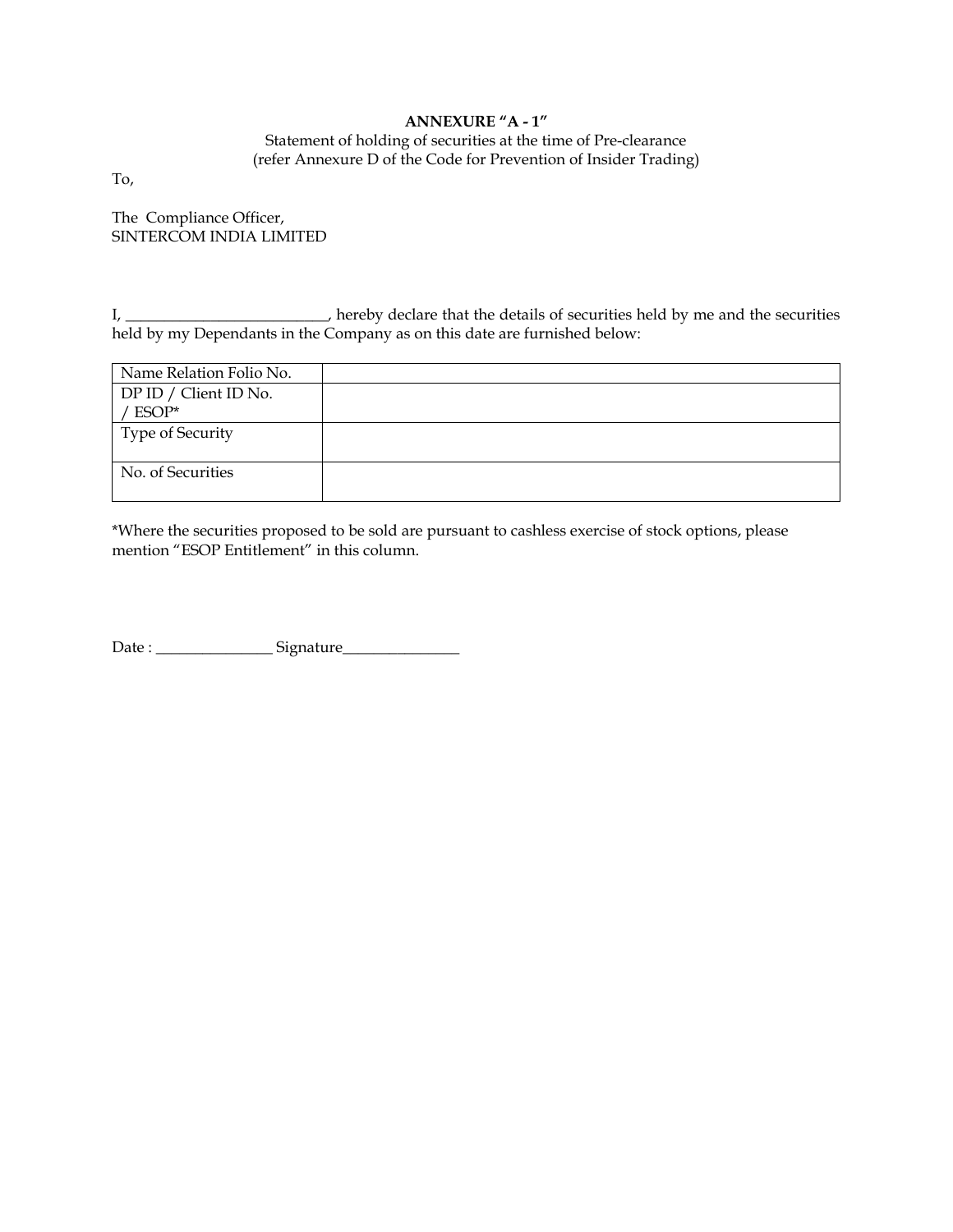# **ANNEXURE "A - 1"**

Statement of holding of securities at the time of Pre-clearance (refer Annexure D of the Code for Prevention of Insider Trading)

To,

The Compliance Officer, SINTERCOM INDIA LIMITED

I, \_\_\_\_\_\_\_\_\_\_\_\_\_\_\_\_\_\_\_\_\_\_\_\_\_, hereby declare that the details of securities held by me and the securities held by my Dependants in the Company as on this date are furnished below:

| Name Relation Folio No. |  |
|-------------------------|--|
| DP ID / Client ID No.   |  |
| ' ESOP*                 |  |
| <b>Type of Security</b> |  |
|                         |  |
| No. of Securities       |  |
|                         |  |

\*Where the securities proposed to be sold are pursuant to cashless exercise of stock options, please mention "ESOP Entitlement" in this column.

Date : \_\_\_\_\_\_\_\_\_\_\_\_\_\_\_ Signature\_\_\_\_\_\_\_\_\_\_\_\_\_\_\_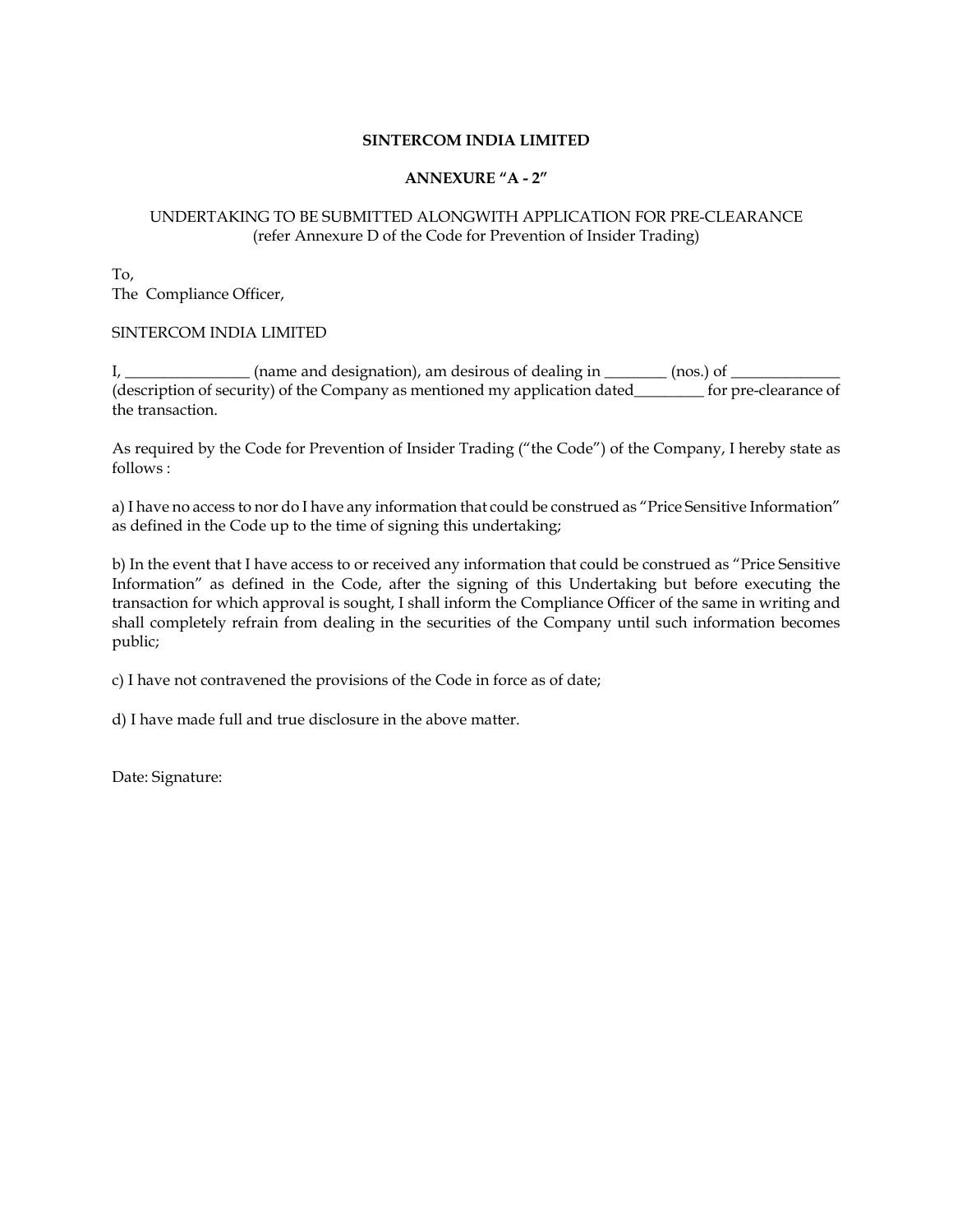#### **SINTERCOM INDIA LIMITED**

#### **ANNEXURE "A - 2"**

## UNDERTAKING TO BE SUBMITTED ALONGWITH APPLICATION FOR PRE-CLEARANCE (refer Annexure D of the Code for Prevention of Insider Trading)

To, The Compliance Officer,

#### SINTERCOM INDIA LIMITED

I, \_\_\_\_\_\_\_\_\_\_\_\_\_\_\_\_\_\_ (name and designation), am desirous of dealing in \_\_\_\_\_\_\_\_\_ (nos.) of \_\_\_\_\_\_\_ (description of security) of the Company as mentioned my application dated\_\_\_\_\_\_\_ for pre-clearance of the transaction.

As required by the Code for Prevention of Insider Trading ("the Code") of the Company, I hereby state as follows :

a) I have no access to nor do I have any information that could be construed as "Price Sensitive Information" as defined in the Code up to the time of signing this undertaking;

b) In the event that I have access to or received any information that could be construed as "Price Sensitive Information" as defined in the Code, after the signing of this Undertaking but before executing the transaction for which approval is sought, I shall inform the Compliance Officer of the same in writing and shall completely refrain from dealing in the securities of the Company until such information becomes public;

c) I have not contravened the provisions of the Code in force as of date;

d) I have made full and true disclosure in the above matter.

Date: Signature: